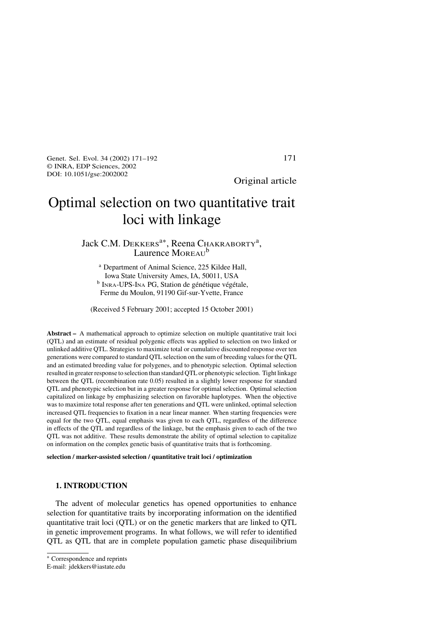# Optimal selection on two quantitative trait loci with linkage

Jack C.M. DEKKERS<sup>a∗</sup>, Reena Chakraborty<sup>a</sup>,<br>Laurence Moreau<sup>b</sup>

<sup>a</sup> Department of Animal Science, 225 Kildee Hall, Iowa State University Ames, IA, 50011, USA <sup>b</sup> INRA-UPS-INA PG, Station de génétique végétale, Ferme du Moulon, 91190 Gif-sur-Yvette, France

(Received 5 February 2001; accepted 15 October 2001)

**Abstract –** A mathematical approach to optimize selection on multiple quantitative trait loci (QTL) and an estimate of residual polygenic effects was applied to selection on two linked or unlinked additive QTL. Strategies to maximize total or cumulative discounted response over ten generations were compared to standard QTL selection on the sum of breeding values for the QTL and an estimated breeding value for polygenes, and to phenotypic selection. Optimal selection resulted in greater response to selection than standard QTL or phenotypic selection. Tight linkage between the QTL (recombination rate 0.05) resulted in a slightly lower response for standard QTL and phenotypic selection but in a greater response for optimal selection. Optimal selection capitalized on linkage by emphasizing selection on favorable haplotypes. When the objective was to maximize total response after ten generations and QTL were unlinked, optimal selection increased QTL frequencies to fixation in a near linear manner. When starting frequencies were equal for the two QTL, equal emphasis was given to each QTL, regardless of the difference in effects of the QTL and regardless of the linkage, but the emphasis given to each of the two QTL was not additive. These results demonstrate the ability of optimal selection to capitalize on information on the complex genetic basis of quantitative traits that is forthcoming.

**selection / marker-assisted selection / quantitative trait loci / optimization**

# **1. INTRODUCTION**

The advent of molecular genetics has opened opportunities to enhance selection for quantitative traits by incorporating information on the identified quantitative trait loci (QTL) or on the genetic markers that are linked to QTL in genetic improvement programs. In what follows, we will refer to identified QTL as QTL that are in complete population gametic phase disequilibrium

<sup>∗</sup> Correspondence and reprints

E-mail: jdekkers@iastate.edu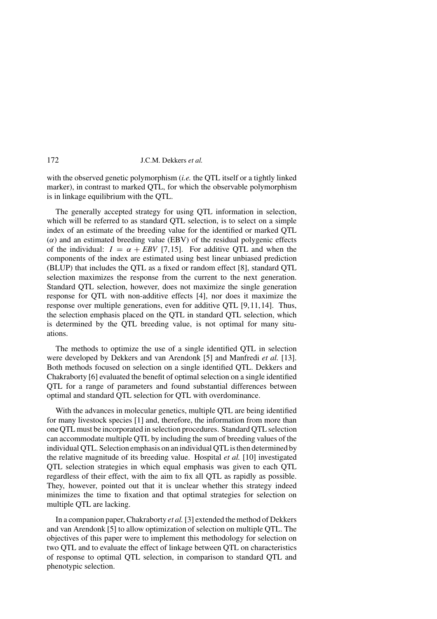with the observed genetic polymorphism (*i.e.* the QTL itself or a tightly linked marker), in contrast to marked QTL, for which the observable polymorphism is in linkage equilibrium with the QTL.

The generally accepted strategy for using QTL information in selection, which will be referred to as standard QTL selection, is to select on a simple index of an estimate of the breeding value for the identified or marked QTL  $(\alpha)$  and an estimated breeding value (EBV) of the residual polygenic effects of the individual:  $I = \alpha + EBV$  [7,15]. For additive QTL and when the components of the index are estimated using best linear unbiased prediction (BLUP) that includes the QTL as a fixed or random effect [8], standard QTL selection maximizes the response from the current to the next generation. Standard QTL selection, however, does not maximize the single generation response for QTL with non-additive effects [4], nor does it maximize the response over multiple generations, even for additive QTL [9,11,14]. Thus, the selection emphasis placed on the QTL in standard QTL selection, which is determined by the QTL breeding value, is not optimal for many situations.

The methods to optimize the use of a single identified QTL in selection were developed by Dekkers and van Arendonk [5] and Manfredi *et al.* [13]. Both methods focused on selection on a single identified QTL. Dekkers and Chakraborty [6] evaluated the benefit of optimal selection on a single identified QTL for a range of parameters and found substantial differences between optimal and standard QTL selection for QTL with overdominance.

With the advances in molecular genetics, multiple QTL are being identified for many livestock species [1] and, therefore, the information from more than one QTL must be incorporated in selection procedures. Standard QTL selection can accommodate multiple QTL by including the sum of breeding values of the individual QTL. Selection emphasis on an individual QTL is then determined by the relative magnitude of its breeding value. Hospital *et al.* [10] investigated QTL selection strategies in which equal emphasis was given to each QTL regardless of their effect, with the aim to fix all QTL as rapidly as possible. They, however, pointed out that it is unclear whether this strategy indeed minimizes the time to fixation and that optimal strategies for selection on multiple QTL are lacking.

In a companion paper, Chakraborty *et al.* [3] extended the method of Dekkers and van Arendonk [5] to allow optimization of selection on multiple QTL. The objectives of this paper were to implement this methodology for selection on two QTL and to evaluate the effect of linkage between QTL on characteristics of response to optimal QTL selection, in comparison to standard QTL and phenotypic selection.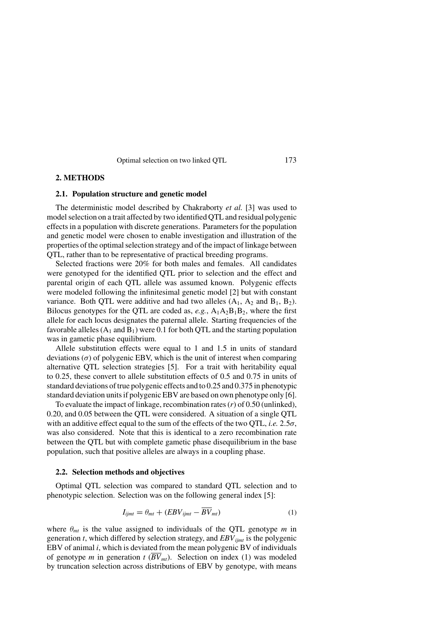#### **2. METHODS**

### **2.1. Population structure and genetic model**

The deterministic model described by Chakraborty *et al.* [3] was used to model selection on a trait affected by two identified QTL and residual polygenic effects in a population with discrete generations. Parameters for the population and genetic model were chosen to enable investigation and illustration of the properties of the optimal selection strategy and of the impact of linkage between QTL, rather than to be representative of practical breeding programs.

Selected fractions were 20% for both males and females. All candidates were genotyped for the identified QTL prior to selection and the effect and parental origin of each QTL allele was assumed known. Polygenic effects were modeled following the infinitesimal genetic model [2] but with constant variance. Both QTL were additive and had two alleles  $(A_1, A_2 \text{ and } B_1, B_2)$ . Bilocus genotypes for the QTL are coded as,  $e.g., A_1A_2B_1B_2$ , where the first allele for each locus designates the paternal allele. Starting frequencies of the favorable alleles  $(A_1 \text{ and } B_1)$  were 0.1 for both QTL and the starting population was in gametic phase equilibrium.

Allele substitution effects were equal to 1 and 1.5 in units of standard deviations  $(\sigma)$  of polygenic EBV, which is the unit of interest when comparing alternative QTL selection strategies [5]. For a trait with heritability equal to 0.25, these convert to allele substitution effects of 0.5 and 0.75 in units of standard deviations of true polygenic effects and to 0.25 and 0.375 in phenotypic standard deviation units if polygenic EBV are based on own phenotype only [6].

To evaluate the impact of linkage, recombination rates (*r*) of 0.50 (unlinked), 0.20, and 0.05 between the QTL were considered. A situation of a single QTL with an additive effect equal to the sum of the effects of the two QTL, *i.e.* 2*.*5σ, was also considered. Note that this is identical to a zero recombination rate between the QTL but with complete gametic phase disequilibrium in the base population, such that positive alleles are always in a coupling phase.

# **2.2. Selection methods and objectives**

Optimal QTL selection was compared to standard QTL selection and to phenotypic selection. Selection was on the following general index [5]:

$$
I_{ijmt} = \theta_{mt} + (EBV_{ijmt} - BV_{mt})
$$
\n(1)

where  $\theta_{mt}$  is the value assigned to individuals of the QTL genotype  $m$  in generation  $t$ , which differed by selection strategy, and  $EBV_{ijmt}$  is the polygenic EBV of animal *i*, which is deviated from the mean polygenic BV of individuals of genotype *m* in generation *t* ( $\overline{BV}_{mt}$ ). Selection on index (1) was modeled by truncation selection across distributions of EBV by genotype, with means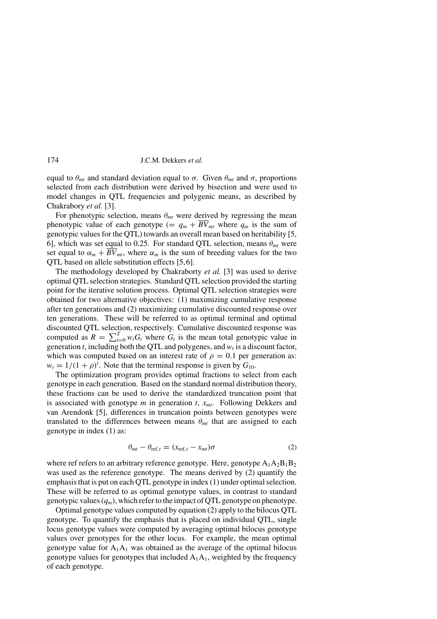174 J.C.M. Dekkers *et al.*

equal to  $\theta_{mt}$  and standard deviation equal to  $\sigma$ . Given  $\theta_{mt}$  and  $\sigma$ , proportions selected from each distribution were derived by bisection and were used to model changes in QTL frequencies and polygenic means, as described by Chakrabory *et al.* [3].

For phenotypic selection, means  $\theta_{mt}$  were derived by regressing the mean phenotypic value of each genotype  $(= q_m + \overline{BV}_{mt}$  where  $q_m$  is the sum of genotypic values for the QTL) towards an overall mean based on heritability [5, 6], which was set equal to 0.25. For standard QTL selection, means  $\theta_{mt}$  were set equal to  $\alpha_m + \overline{BV}_{mt}$ , where  $\alpha_m$  is the sum of breeding values for the two QTL based on allele substitution effects [5,6].

The methodology developed by Chakraborty *et al.* [3] was used to derive optimal QTL selection strategies. Standard QTL selection provided the starting point for the iterative solution process. Optimal QTL selection strategies were obtained for two alternative objectives: (1) maximizing cumulative response after ten generations and (2) maximizing cumulative discounted response over ten generations. These will be referred to as optimal terminal and optimal discounted QTL selection, respectively. Cumulative discounted response was computed as  $R = \sum_{t=0}^{T} w_t G_t$  where  $G_t$  is the mean total genotypic value in generation  $t$ , including both the QTL and polygenes, and  $w_t$  is a discount factor, which was computed based on an interest rate of  $\rho = 0.1$  per generation as:  $w_t = 1/(1 + \rho)^t$ . Note that the terminal response is given by  $G_{10}$ .

The optimization program provides optimal fractions to select from each genotype in each generation. Based on the standard normal distribution theory, these fractions can be used to derive the standardized truncation point that is associated with genotype *m* in generation *t*, *xmt*. Following Dekkers and van Arendonk [5], differences in truncation points between genotypes were translated to the differences between means  $\theta_{mt}$  that are assigned to each genotype in index (1) as:

$$
\theta_{mt} - \theta_{\text{ref},t} = (x_{\text{ref},t} - x_{mt})\sigma \tag{2}
$$

where ref refers to an arbitrary reference genotype. Here, genotype  $A_1A_2B_1B_2$ was used as the reference genotype. The means derived by (2) quantify the emphasis that is put on each QTL genotype in index (1) under optimal selection. These will be referred to as optimal genotype values, in contrast to standard genotypic values  $(q_m)$ , which refer to the impact of QTL genotype on phenotype.

Optimal genotype values computed by equation (2) apply to the bilocus QTL genotype. To quantify the emphasis that is placed on individual QTL, single locus genotype values were computed by averaging optimal bilocus genotype values over genotypes for the other locus. For example, the mean optimal genotype value for  $A_1A_1$  was obtained as the average of the optimal bilocus genotype values for genotypes that included  $A_1A_1$ , weighted by the frequency of each genotype.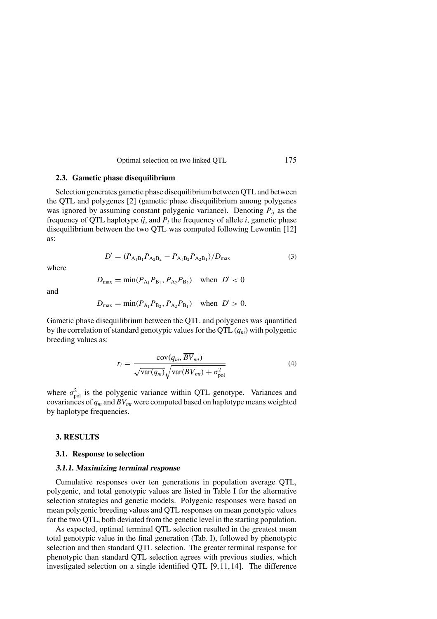#### **2.3. Gametic phase disequilibrium**

Selection generates gametic phase disequilibrium between QTL and between the QTL and polygenes [2] (gametic phase disequilibrium among polygenes was ignored by assuming constant polygenic variance). Denoting  $P_{ij}$  as the frequency of QTL haplotype  $i\dot{j}$ , and  $P_i$  the frequency of allele  $i$ , gametic phase disequilibrium between the two QTL was computed following Lewontin [12] as:

$$
D' = (P_{A_1B_1}P_{A_2B_2} - P_{A_1B_2}P_{A_2B_1})/D_{\text{max}}
$$
 (3)

where

$$
D_{\max} = \min(P_{A_1} P_{B_1}, P_{A_2} P_{B_2}) \text{ when } D' < 0
$$

and

$$
D_{\max} = \min(P_{A_1} P_{B_2}, P_{A_2} P_{B_1}) \text{ when } D' > 0.
$$

Gametic phase disequilibrium between the QTL and polygenes was quantified by the correlation of standard genotypic values for the  $QTL (q_m)$  with polygenic breeding values as:

$$
r_t = \frac{\text{cov}(q_m, \overline{BV}_{mt})}{\sqrt{\text{var}(q_m)}\sqrt{\text{var}(\overline{BV}_{mt}) + \sigma_{\text{pol}}^2}}\tag{4}
$$

where  $\sigma_{pol}^2$  is the polygenic variance within QTL genotype. Variances and covariances of  $q_m$  and  $BV_{mt}$  were computed based on haplotype means weighted by haplotype frequencies.

# **3. RESULTS**

#### **3.1. Response to selection**

#### **3.1.1. Maximizing terminal response**

Cumulative responses over ten generations in population average QTL, polygenic, and total genotypic values are listed in Table I for the alternative selection strategies and genetic models. Polygenic responses were based on mean polygenic breeding values and QTL responses on mean genotypic values for the two QTL, both deviated from the genetic level in the starting population.

As expected, optimal terminal QTL selection resulted in the greatest mean total genotypic value in the final generation (Tab. I), followed by phenotypic selection and then standard QTL selection. The greater terminal response for phenotypic than standard QTL selection agrees with previous studies, which investigated selection on a single identified QTL [9,11,14]. The difference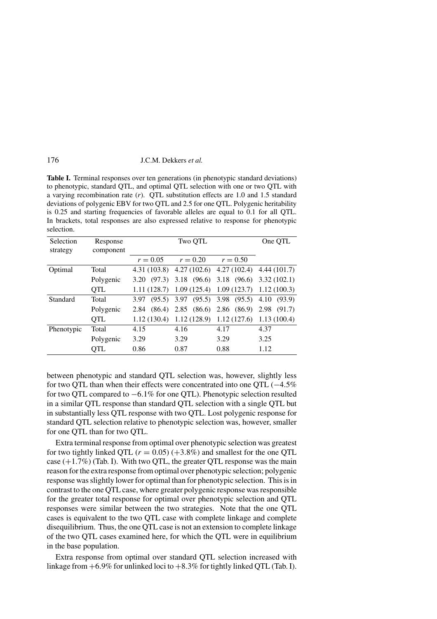**Table I.** Terminal responses over ten generations (in phenotypic standard deviations) to phenotypic, standard QTL, and optimal QTL selection with one or two QTL with a varying recombination rate (*r*). QTL substitution effects are 1.0 and 1.5 standard deviations of polygenic EBV for two QTL and 2.5 for one QTL. Polygenic heritability is 0.25 and starting frequencies of favorable alleles are equal to 0.1 for all QTL. In brackets, total responses are also expressed relative to response for phenotypic selection.

| Selection  | Response   |                | One QTL    |                                            |                |
|------------|------------|----------------|------------|--------------------------------------------|----------------|
| strategy   | component  |                |            |                                            |                |
|            |            | $r = 0.05$     | $r = 0.20$ | $r = 0.50$                                 |                |
| Optimal    | Total      | 4.31 (103.8)   |            | $4.27(102.6)$ $4.27(102.4)$ $4.44(101.7)$  |                |
|            | Polygenic  | (97.3)<br>3.20 |            | 3.18 $(96.6)$ 3.18 $(96.6)$ 3.32 $(102.1)$ |                |
|            | <b>OTL</b> | 1.11(128.7)    |            | $1.09(125.4)$ $1.09(123.7)$ $1.12(100.3)$  |                |
| Standard   | Total      | (95.5)<br>3.97 | 3.97       | $(95.5)$ 3.98 $(95.5)$ 4.10 $(93.9)$       |                |
|            | Polygenic  | (86.4)<br>2.84 | 2.85(86.6) | 2.86(86.9)                                 | 2.98<br>(91.7) |
|            | <b>OTL</b> | 1.12(130.4)    |            | $1.12(128.9)$ $1.12(127.6)$                | 1.13(100.4)    |
| Phenotypic | Total      | 4.15           | 4.16       | 4.17                                       | 4.37           |
|            | Polygenic  | 3.29           | 3.29       | 3.29                                       | 3.25           |
|            | OTL        | 0.86           | 0.87       | 0.88                                       | 1.12           |

between phenotypic and standard QTL selection was, however, slightly less for two QTL than when their effects were concentrated into one QTL (−4*.*5% for two QTL compared to −6*.*1% for one QTL). Phenotypic selection resulted in a similar QTL response than standard QTL selection with a single QTL but in substantially less QTL response with two QTL. Lost polygenic response for standard QTL selection relative to phenotypic selection was, however, smaller for one QTL than for two QTL.

Extra terminal response from optimal over phenotypic selection was greatest for two tightly linked QTL  $(r = 0.05)$  (+3.8%) and smallest for the one QTL case  $(+1.7\%)$  (Tab. I). With two QTL, the greater QTL response was the main reason for the extra response from optimal over phenotypic selection; polygenic response was slightly lower for optimal than for phenotypic selection. This is in contrast to the one QTL case, where greater polygenic response was responsible for the greater total response for optimal over phenotypic selection and QTL responses were similar between the two strategies. Note that the one QTL cases is equivalent to the two QTL case with complete linkage and complete disequilibrium. Thus, the one QTL case is not an extension to complete linkage of the two QTL cases examined here, for which the QTL were in equilibrium in the base population.

Extra response from optimal over standard QTL selection increased with linkage from +6*.*9% for unlinked loci to +8*.*3% for tightly linked QTL (Tab. I).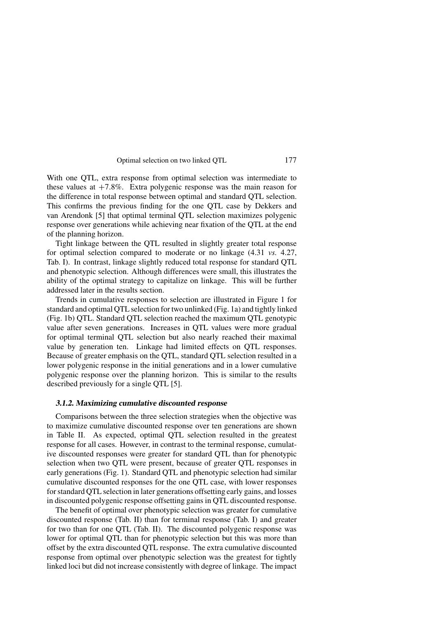With one QTL, extra response from optimal selection was intermediate to these values at  $+7.8\%$ . Extra polygenic response was the main reason for the difference in total response between optimal and standard QTL selection. This confirms the previous finding for the one QTL case by Dekkers and van Arendonk [5] that optimal terminal QTL selection maximizes polygenic response over generations while achieving near fixation of the QTL at the end of the planning horizon.

Tight linkage between the QTL resulted in slightly greater total response for optimal selection compared to moderate or no linkage (4.31 *vs.* 4.27, Tab. I). In contrast, linkage slightly reduced total response for standard QTL and phenotypic selection. Although differences were small, this illustrates the ability of the optimal strategy to capitalize on linkage. This will be further addressed later in the results section.

Trends in cumulative responses to selection are illustrated in Figure 1 for standard and optimal QTL selection for two unlinked (Fig. 1a) and tightly linked (Fig. 1b) QTL. Standard QTL selection reached the maximum QTL genotypic value after seven generations. Increases in QTL values were more gradual for optimal terminal QTL selection but also nearly reached their maximal value by generation ten. Linkage had limited effects on QTL responses. Because of greater emphasis on the QTL, standard QTL selection resulted in a lower polygenic response in the initial generations and in a lower cumulative polygenic response over the planning horizon. This is similar to the results described previously for a single QTL [5].

# **3.1.2. Maximizing cumulative discounted response**

Comparisons between the three selection strategies when the objective was to maximize cumulative discounted response over ten generations are shown in Table II. As expected, optimal QTL selection resulted in the greatest response for all cases. However, in contrast to the terminal response, cumulative discounted responses were greater for standard QTL than for phenotypic selection when two QTL were present, because of greater QTL responses in early generations (Fig. 1). Standard QTL and phenotypic selection had similar cumulative discounted responses for the one QTL case, with lower responses for standard QTL selection in later generations offsetting early gains, and losses in discounted polygenic response offsetting gains in QTL discounted response.

The benefit of optimal over phenotypic selection was greater for cumulative discounted response (Tab. II) than for terminal response (Tab. I) and greater for two than for one QTL (Tab. II). The discounted polygenic response was lower for optimal QTL than for phenotypic selection but this was more than offset by the extra discounted QTL response. The extra cumulative discounted response from optimal over phenotypic selection was the greatest for tightly linked loci but did not increase consistently with degree of linkage. The impact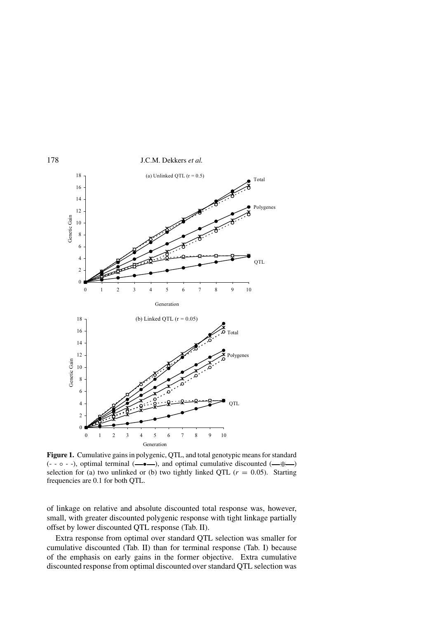

**Figure 1.** Cumulative gains in polygenic, QTL, and total genotypic means for standard  $(- - \circ - \circ)$ , optimal terminal  $(\longrightarrow \bullet \circ)$ , and optimal cumulative discounted  $(\longrightarrow \ast \circ)$ selection for (a) two unlinked or (b) two tightly linked QTL  $(r = 0.05)$ . Starting frequencies are 0.1 for both QTL.

of linkage on relative and absolute discounted total response was, however, small, with greater discounted polygenic response with tight linkage partially offset by lower discounted QTL response (Tab. II).

Extra response from optimal over standard QTL selection was smaller for cumulative discounted (Tab. II) than for terminal response (Tab. I) because of the emphasis on early gains in the former objective. Extra cumulative discounted response from optimal discounted over standard QTL selection was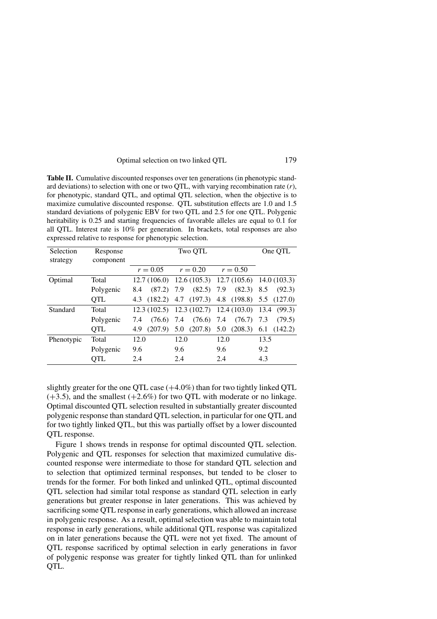**Table II.** Cumulative discounted responses over ten generations (in phenotypic standard deviations) to selection with one or two QTL, with varying recombination rate (*r*), for phenotypic, standard QTL, and optimal QTL selection, when the objective is to maximize cumulative discounted response. QTL substitution effects are 1.0 and 1.5 standard deviations of polygenic EBV for two QTL and 2.5 for one QTL. Polygenic heritability is 0.25 and starting frequencies of favorable alleles are equal to 0.1 for all QTL. Interest rate is 10% per generation. In brackets, total responses are also expressed relative to response for phenotypic selection.

| Selection  | Response  |                | One QTL             |                                                         |               |
|------------|-----------|----------------|---------------------|---------------------------------------------------------|---------------|
| strategy   | component |                |                     |                                                         |               |
|            |           | $r = 0.05$     | $r = 0.20$          | $r = 0.50$                                              |               |
| Optimal    | Total     |                |                     | $12.7(106.0)$ $12.6(105.3)$ $12.7(105.6)$ $14.0(103.3)$ |               |
|            | Polygenic | (87.2)<br>8.4  | $(82.5)$ 7.9<br>7.9 | (82.3)                                                  | (92.3)<br>8.5 |
|            | OTL       | (182.2)<br>4.3 | 4.7 $(197.3)$       | 4.8 (198.8) 5.5 (127.0)                                 |               |
| Standard   | Total     |                |                     | 12.3 (102.5) 12.3 (102.7) 12.4 (103.0) 13.4             | (99.3)        |
|            | Polygenic | 7.4<br>(76.6)  | (76.6)<br>7.4       | (76.7)<br>7.4                                           | (79.5)<br>7.3 |
|            | QTL       | 4.9<br>(207.9) | (207.8)<br>5.0      | $5.0\quad(208.3)$                                       | 6.1(142.2)    |
| Phenotypic | Total     | 12.0           | 12.0                | 12.0                                                    | 13.5          |
|            | Polygenic | 9.6            | 9.6                 | 9.6                                                     | 9.2           |
|            | OTL       | 2.4            | 2.4                 | 2.4                                                     | 4.3           |

slightly greater for the one QTL case (+4*.*0%) than for two tightly linked QTL (+3*.*5), and the smallest (+2*.*6%) for two QTL with moderate or no linkage. Optimal discounted QTL selection resulted in substantially greater discounted polygenic response than standard QTL selection, in particular for one QTL and for two tightly linked QTL, but this was partially offset by a lower discounted QTL response.

Figure 1 shows trends in response for optimal discounted QTL selection. Polygenic and QTL responses for selection that maximized cumulative discounted response were intermediate to those for standard QTL selection and to selection that optimized terminal responses, but tended to be closer to trends for the former. For both linked and unlinked QTL, optimal discounted QTL selection had similar total response as standard QTL selection in early generations but greater response in later generations. This was achieved by sacrificing some QTL response in early generations, which allowed an increase in polygenic response. As a result, optimal selection was able to maintain total response in early generations, while additional QTL response was capitalized on in later generations because the QTL were not yet fixed. The amount of QTL response sacrificed by optimal selection in early generations in favor of polygenic response was greater for tightly linked QTL than for unlinked OTL.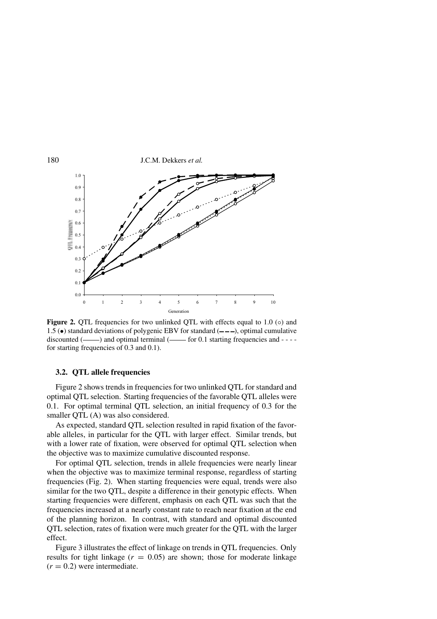180 J.C.M. Dekkers *et al.*



**Figure 2.** QTL frequencies for two unlinked QTL with effects equal to 1.0 (◦) and 1.5 ( $\bullet$ ) standard deviations of polygenic EBV for standard  $\left(\begin{array}{c}\text{-} \\ \text{-} \\ \text{-}\end{array}\right)$ , optimal cumulative discounted  $\left(\begin{array}{c}\text{-} \\ \text{-} \\ \text{-}\end{array}\right)$  and optimal terminal  $\left(\begin{array}{c}\text{-} \\ \text{-} \\ \text{-}\end{array}\right)$  for 0.1 startin ightharpoonup and optimal terminal (  $\equiv$  for 0.1 starting frequencies and - - for starting frequencies of 0.3 and 0.1).

#### **3.2. QTL allele frequencies**

Figure 2 shows trends in frequencies for two unlinked QTL for standard and optimal QTL selection. Starting frequencies of the favorable QTL alleles were 0.1. For optimal terminal QTL selection, an initial frequency of 0.3 for the smaller OTL (A) was also considered.

As expected, standard QTL selection resulted in rapid fixation of the favorable alleles, in particular for the QTL with larger effect. Similar trends, but with a lower rate of fixation, were observed for optimal QTL selection when the objective was to maximize cumulative discounted response.

For optimal QTL selection, trends in allele frequencies were nearly linear when the objective was to maximize terminal response, regardless of starting frequencies (Fig. 2). When starting frequencies were equal, trends were also similar for the two QTL, despite a difference in their genotypic effects. When starting frequencies were different, emphasis on each QTL was such that the frequencies increased at a nearly constant rate to reach near fixation at the end of the planning horizon. In contrast, with standard and optimal discounted QTL selection, rates of fixation were much greater for the QTL with the larger effect.

Figure 3 illustrates the effect of linkage on trends in QTL frequencies. Only results for tight linkage  $(r = 0.05)$  are shown; those for moderate linkage  $(r = 0.2)$  were intermediate.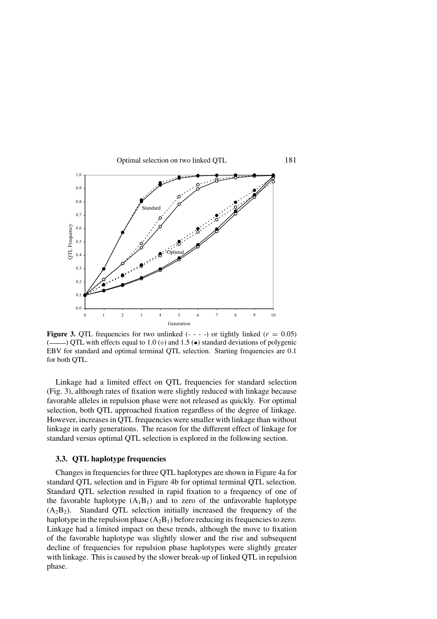

**Figure 3.** OTL frequencies for two unlinked  $(- - -)$  or tightly linked  $(r = 0.05)$  $($   $\longrightarrow$  QTL with effects equal to 1.0 ( $\circ$ ) and 1.5 ( $\bullet$ ) standard deviations of polygenic EBV for standard and optimal terminal QTL selection. Starting frequencies are 0.1 for both QTL.

Linkage had a limited effect on QTL frequencies for standard selection (Fig. 3), although rates of fixation were slightly reduced with linkage because favorable alleles in repulsion phase were not released as quickly. For optimal selection, both QTL approached fixation regardless of the degree of linkage. However, increases in QTL frequencies were smaller with linkage than without linkage in early generations. The reason for the different effect of linkage for standard versus optimal QTL selection is explored in the following section.

# **3.3. QTL haplotype frequencies**

Changes in frequencies for three QTL haplotypes are shown in Figure 4a for standard QTL selection and in Figure 4b for optimal terminal QTL selection. Standard QTL selection resulted in rapid fixation to a frequency of one of the favorable haplotype  $(A_1B_1)$  and to zero of the unfavorable haplotype  $(A<sub>2</sub>B<sub>2</sub>)$ . Standard OTL selection initially increased the frequency of the haplotype in the repulsion phase  $(A_2B_1)$  before reducing its frequencies to zero. Linkage had a limited impact on these trends, although the move to fixation of the favorable haplotype was slightly slower and the rise and subsequent decline of frequencies for repulsion phase haplotypes were slightly greater with linkage. This is caused by the slower break-up of linked QTL in repulsion phase.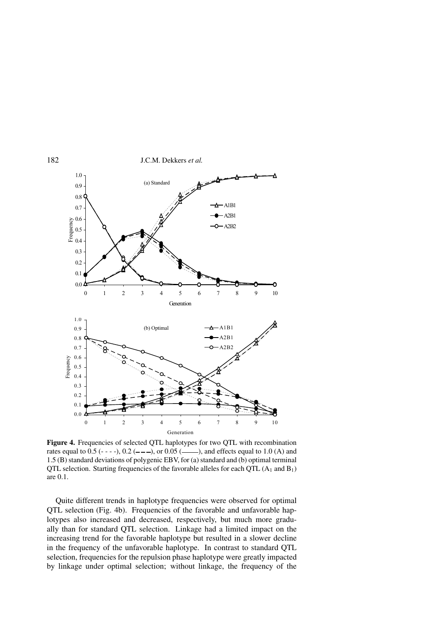

**Figure 4.** Frequencies of selected QTL haplotypes for two QTL with recombination rates equal to  $0.5$  (- - - -),  $0.2$  (---), or  $0.05$  (---), and effects equal to 1.0 (A) and 1.5 (B) standard deviations of polygenic EBV, for (a) standard and (b) optimal terminal QTL selection. Starting frequencies of the favorable alleles for each QTL  $(A_1 \text{ and } B_1)$ are 0.1.

Quite different trends in haplotype frequencies were observed for optimal QTL selection (Fig. 4b). Frequencies of the favorable and unfavorable haplotypes also increased and decreased, respectively, but much more gradually than for standard QTL selection. Linkage had a limited impact on the increasing trend for the favorable haplotype but resulted in a slower decline in the frequency of the unfavorable haplotype. In contrast to standard QTL selection, frequencies for the repulsion phase haplotype were greatly impacted by linkage under optimal selection; without linkage, the frequency of the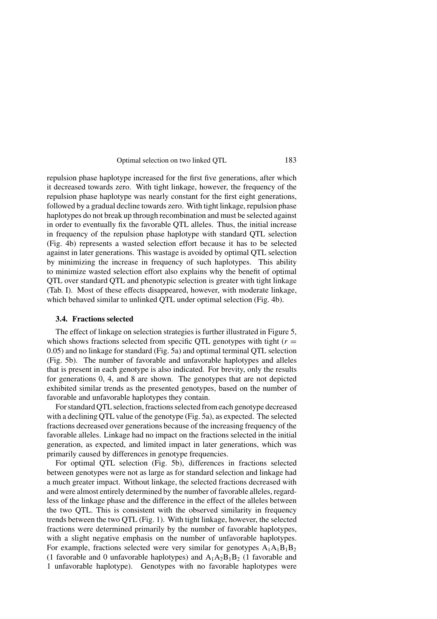repulsion phase haplotype increased for the first five generations, after which it decreased towards zero. With tight linkage, however, the frequency of the repulsion phase haplotype was nearly constant for the first eight generations, followed by a gradual decline towards zero. With tight linkage, repulsion phase haplotypes do not break up through recombination and must be selected against in order to eventually fix the favorable QTL alleles. Thus, the initial increase in frequency of the repulsion phase haplotype with standard QTL selection (Fig. 4b) represents a wasted selection effort because it has to be selected against in later generations. This wastage is avoided by optimal QTL selection by minimizing the increase in frequency of such haplotypes. This ability to minimize wasted selection effort also explains why the benefit of optimal QTL over standard QTL and phenotypic selection is greater with tight linkage (Tab. I). Most of these effects disappeared, however, with moderate linkage, which behaved similar to unlinked QTL under optimal selection (Fig. 4b).

# **3.4. Fractions selected**

The effect of linkage on selection strategies is further illustrated in Figure 5, which shows fractions selected from specific OTL genotypes with tight  $(r =$ 0*.*05) and no linkage for standard (Fig. 5a) and optimal terminal QTL selection (Fig. 5b). The number of favorable and unfavorable haplotypes and alleles that is present in each genotype is also indicated. For brevity, only the results for generations 0, 4, and 8 are shown. The genotypes that are not depicted exhibited similar trends as the presented genotypes, based on the number of favorable and unfavorable haplotypes they contain.

For standard QTL selection, fractions selected from each genotype decreased with a declining QTL value of the genotype (Fig. 5a), as expected. The selected fractions decreased over generations because of the increasing frequency of the favorable alleles. Linkage had no impact on the fractions selected in the initial generation, as expected, and limited impact in later generations, which was primarily caused by differences in genotype frequencies.

For optimal QTL selection (Fig. 5b), differences in fractions selected between genotypes were not as large as for standard selection and linkage had a much greater impact. Without linkage, the selected fractions decreased with and were almost entirely determined by the number of favorable alleles, regardless of the linkage phase and the difference in the effect of the alleles between the two QTL. This is consistent with the observed similarity in frequency trends between the two QTL (Fig. 1). With tight linkage, however, the selected fractions were determined primarily by the number of favorable haplotypes, with a slight negative emphasis on the number of unfavorable haplotypes. For example, fractions selected were very similar for genotypes  $A_1A_1B_1B_2$ (1 favorable and 0 unfavorable haplotypes) and  $A_1A_2B_1B_2$  (1 favorable and 1 unfavorable haplotype). Genotypes with no favorable haplotypes were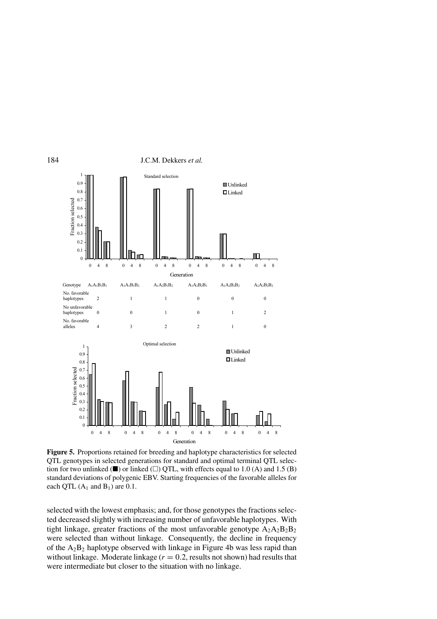

**Figure 5.** Proportions retained for breeding and haplotype characteristics for selected QTL genotypes in selected generations for standard and optimal terminal QTL selection for two unlinked ( $\blacksquare$ ) or linked ( $\Box$ ) QTL, with effects equal to 1.0 (A) and 1.5 (B) standard deviations of polygenic EBV. Starting frequencies of the favorable alleles for each QTL  $(A_1 \text{ and } B_1)$  are 0.1.

selected with the lowest emphasis; and, for those genotypes the fractions selected decreased slightly with increasing number of unfavorable haplotypes. With tight linkage, greater fractions of the most unfavorable genotype  $A_2A_2B_2B_2$ were selected than without linkage. Consequently, the decline in frequency of the  $A_2B_2$  haplotype observed with linkage in Figure 4b was less rapid than without linkage. Moderate linkage  $(r = 0.2$ , results not shown) had results that were intermediate but closer to the situation with no linkage.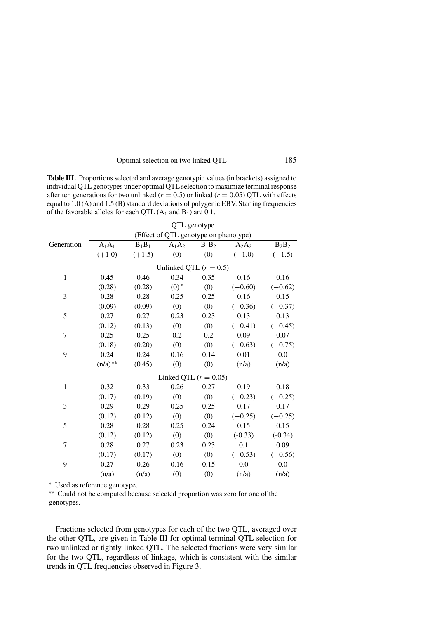**Table III.** Proportions selected and average genotypic values (in brackets) assigned to individual QTL genotypes under optimal QTL selection to maximize terminal response after ten generations for two unlinked  $(r = 0.5)$  or linked  $(r = 0.05)$  OTL with effects equal to 1.0 (A) and 1.5 (B) standard deviations of polygenic EBV. Starting frequencies of the favorable alleles for each QTL  $(A_1 \text{ and } B_1)$  are 0.1.

|                | QTL genotype                          |                          |                         |          |           |                     |  |  |  |
|----------------|---------------------------------------|--------------------------|-------------------------|----------|-----------|---------------------|--|--|--|
|                | (Effect of QTL genotype on phenotype) |                          |                         |          |           |                     |  |  |  |
| Generation     | $A_1A_1$                              | $B_1B_1$                 | $A_1A_2$                | $B_1B_2$ | $A_2A_2$  | $B_2\overline{B_2}$ |  |  |  |
|                | $(+1.0)$                              | $(+1.5)$                 | (0)                     | (0)      | $(-1.0)$  | $(-1.5)$            |  |  |  |
|                |                                       | Unlinked QTL $(r = 0.5)$ |                         |          |           |                     |  |  |  |
| $\mathbf{1}$   | 0.45                                  | 0.46                     | 0.34                    | 0.35     | 0.16      | 0.16                |  |  |  |
|                | (0.28)                                | (0.28)                   | $(0)$ <sup>*</sup>      | (0)      | $(-0.60)$ | $(-0.62)$           |  |  |  |
| 3              | 0.28                                  | 0.28                     | 0.25                    | 0.25     | 0.16      | 0.15                |  |  |  |
|                | (0.09)                                | (0.09)                   | (0)                     | (0)      | $(-0.36)$ | $(-0.37)$           |  |  |  |
| 5              | 0.27                                  | 0.27                     | 0.23                    | 0.23     | 0.13      | 0.13                |  |  |  |
|                | (0.12)                                | (0.13)                   | (0)                     | (0)      | $(-0.41)$ | $(-0.45)$           |  |  |  |
| $\overline{7}$ | 0.25                                  | 0.25                     | 0.2                     | 0.2      | 0.09      | 0.07                |  |  |  |
|                | (0.18)                                | (0.20)                   | (0)                     | (0)      | $(-0.63)$ | $(-0.75)$           |  |  |  |
| 9              | 0.24                                  | 0.24                     | 0.16                    | 0.14     | 0.01      | 0.0                 |  |  |  |
|                | $(n/a)$ <sup>**</sup>                 | (0.45)                   | (0)                     | (0)      | (n/a)     | (n/a)               |  |  |  |
|                |                                       |                          | Linked QTL $(r = 0.05)$ |          |           |                     |  |  |  |
| $\mathbf{1}$   | 0.32                                  | 0.33                     | 0.26                    | 0.27     | 0.19      | 0.18                |  |  |  |
|                | (0.17)                                | (0.19)                   | (0)                     | (0)      | $(-0.23)$ | $(-0.25)$           |  |  |  |
| 3              | 0.29                                  | 0.29                     | 0.25                    | 0.25     | 0.17      | 0.17                |  |  |  |
|                | (0.12)                                | (0.12)                   | (0)                     | (0)      | $(-0.25)$ | $(-0.25)$           |  |  |  |
| 5              | 0.28                                  | 0.28                     | 0.25                    | 0.24     | 0.15      | 0.15                |  |  |  |
|                | (0.12)                                | (0.12)                   | (0)                     | (0)      | $(-0.33)$ | $(-0.34)$           |  |  |  |
| $\overline{7}$ | 0.28                                  | 0.27                     | 0.23                    | 0.23     | 0.1       | 0.09                |  |  |  |
|                | (0.17)                                | (0.17)                   | (0)                     | (0)      | $(-0.53)$ | $(-0.56)$           |  |  |  |
| 9              | 0.27                                  | 0.26                     | 0.16                    | 0.15     | 0.0       | 0.0                 |  |  |  |
|                | (n/a)                                 | (n/a)                    | (0)                     | (0)      | (n/a)     | (n/a)               |  |  |  |

<sup>∗</sup> Used as reference genotype.

∗∗ Could not be computed because selected proportion was zero for one of the genotypes.

Fractions selected from genotypes for each of the two QTL, averaged over the other QTL, are given in Table III for optimal terminal QTL selection for two unlinked or tightly linked QTL. The selected fractions were very similar for the two QTL, regardless of linkage, which is consistent with the similar trends in QTL frequencies observed in Figure 3.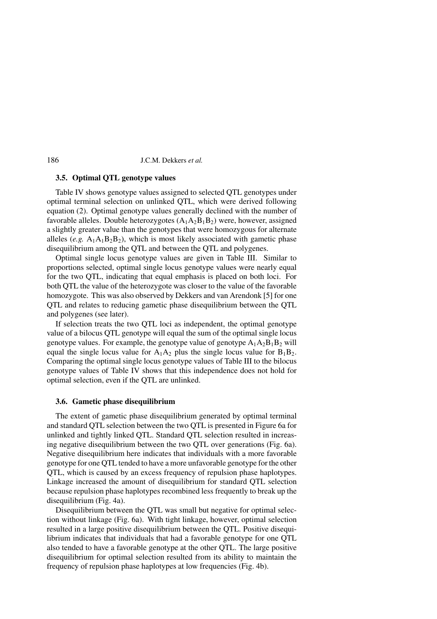# **3.5. Optimal QTL genotype values**

Table IV shows genotype values assigned to selected QTL genotypes under optimal terminal selection on unlinked QTL, which were derived following equation (2). Optimal genotype values generally declined with the number of favorable alleles. Double heterozygotes  $(A_1A_2B_1B_2)$  were, however, assigned a slightly greater value than the genotypes that were homozygous for alternate alleles (*e.g.*  $A_1A_1B_2B_2$ ), which is most likely associated with gametic phase disequilibrium among the QTL and between the QTL and polygenes.

Optimal single locus genotype values are given in Table III. Similar to proportions selected, optimal single locus genotype values were nearly equal for the two QTL, indicating that equal emphasis is placed on both loci. For both QTL the value of the heterozygote was closer to the value of the favorable homozygote. This was also observed by Dekkers and van Arendonk [5] for one QTL and relates to reducing gametic phase disequilibrium between the QTL and polygenes (see later).

If selection treats the two QTL loci as independent, the optimal genotype value of a bilocus QTL genotype will equal the sum of the optimal single locus genotype values. For example, the genotype value of genotype  $A_1A_2B_1B_2$  will equal the single locus value for  $A_1A_2$  plus the single locus value for  $B_1B_2$ . Comparing the optimal single locus genotype values of Table III to the bilocus genotype values of Table IV shows that this independence does not hold for optimal selection, even if the QTL are unlinked.

# **3.6. Gametic phase disequilibrium**

The extent of gametic phase disequilibrium generated by optimal terminal and standard QTL selection between the two QTL is presented in Figure 6a for unlinked and tightly linked QTL. Standard QTL selection resulted in increasing negative disequilibrium between the two QTL over generations (Fig. 6a). Negative disequilibrium here indicates that individuals with a more favorable genotype for one QTL tended to have a more unfavorable genotype for the other QTL, which is caused by an excess frequency of repulsion phase haplotypes. Linkage increased the amount of disequilibrium for standard QTL selection because repulsion phase haplotypes recombined less frequently to break up the disequilibrium (Fig. 4a).

Disequilibrium between the QTL was small but negative for optimal selection without linkage (Fig. 6a). With tight linkage, however, optimal selection resulted in a large positive disequilibrium between the QTL. Positive disequilibrium indicates that individuals that had a favorable genotype for one QTL also tended to have a favorable genotype at the other QTL. The large positive disequilibrium for optimal selection resulted from its ability to maintain the frequency of repulsion phase haplotypes at low frequencies (Fig. 4b).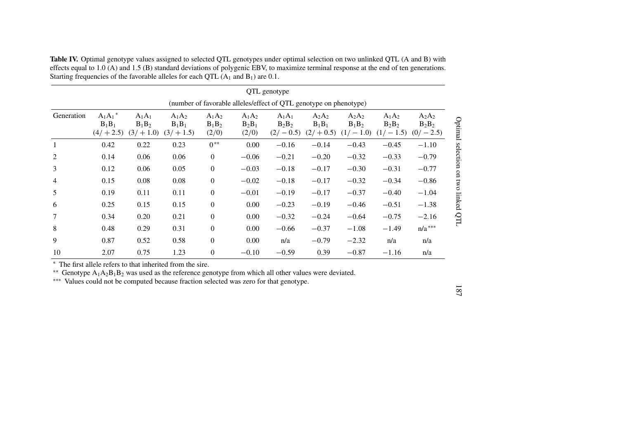|                | QTL genotype                                                                                                                                                                                |                          |                        |                   |                   |                         |                          |                        |                        |                        |
|----------------|---------------------------------------------------------------------------------------------------------------------------------------------------------------------------------------------|--------------------------|------------------------|-------------------|-------------------|-------------------------|--------------------------|------------------------|------------------------|------------------------|
| Generation     | (number of favorable alleles/effect of QTL genotype on phenotype)<br>$A_1A_1^*$<br>$A_1A_2$<br>$A_1A_2$<br>$A_1A_1$<br>$A_1A_2$<br>$A_1A_1$<br>$A_2A_2$<br>$A_2A_2$<br>$A_1A_2$<br>$A_2A_2$ |                          |                        |                   |                   |                         |                          |                        |                        |                        |
|                | $B_1B_1$<br>$(4/ + 2.5)$                                                                                                                                                                    | $B_1B_2$<br>$(3/ + 1.0)$ | $B_1B_1$<br>$(3/+1.5)$ | $B_1B_2$<br>(2/0) | $B_2B_1$<br>(2/0) | $B_2B_2$<br>$(2/- 0.5)$ | $B_1B_1$<br>$(2/ + 0.5)$ | $B_1B_2$<br>$(1/-1.0)$ | $B_2B_2$<br>$(1/-1.5)$ | $B_2B_2$<br>$(0/-2.5)$ |
| 1              | 0.42                                                                                                                                                                                        | 0.22                     | 0.23                   | $0^{**}$          | 0.00              | $-0.16$                 | $-0.14$                  | $-0.43$                | $-0.45$                | $-1.10$                |
| 2              | 0.14                                                                                                                                                                                        | 0.06                     | 0.06                   | $\boldsymbol{0}$  | $-0.06$           | $-0.21$                 | $-0.20$                  | $-0.32$                | $-0.33$                | $-0.79$                |
| 3              | 0.12                                                                                                                                                                                        | 0.06                     | 0.05                   | $\boldsymbol{0}$  | $-0.03$           | $-0.18$                 | $-0.17$                  | $-0.30$                | $-0.31$                | $-0.77$                |
| $\overline{4}$ | 0.15                                                                                                                                                                                        | 0.08                     | 0.08                   | $\boldsymbol{0}$  | $-0.02$           | $-0.18$                 | $-0.17$                  | $-0.32$                | $-0.34$                | $-0.86$                |
| 5              | 0.19                                                                                                                                                                                        | 0.11                     | 0.11                   | $\boldsymbol{0}$  | $-0.01$           | $-0.19$                 | $-0.17$                  | $-0.37$                | $-0.40$                | $-1.04$                |
| 6              | 0.25                                                                                                                                                                                        | 0.15                     | 0.15                   | $\boldsymbol{0}$  | 0.00              | $-0.23$                 | $-0.19$                  | $-0.46$                | $-0.51$                | $-1.38$                |
| 7              | 0.34                                                                                                                                                                                        | 0.20                     | 0.21                   | $\boldsymbol{0}$  | 0.00              | $-0.32$                 | $-0.24$                  | $-0.64$                | $-0.75$                | $-2.16$                |
| 8              | 0.48                                                                                                                                                                                        | 0.29                     | 0.31                   | $\mathbf{0}$      | 0.00              | $-0.66$                 | $-0.37$                  | $-1.08$                | $-1.49$                | $n/a$ ***              |
| 9              | 0.87                                                                                                                                                                                        | 0.52                     | 0.58                   | $\boldsymbol{0}$  | 0.00              | n/a                     | $-0.79$                  | $-2.32$                | n/a                    | n/a                    |
| 10             | 2.07                                                                                                                                                                                        | 0.75                     | 1.23                   | $\boldsymbol{0}$  | $-0.10$           | $-0.59$                 | 0.39                     | $-0.87$                | $-1.16$                | n/a                    |

**Table IV.** Optimal genotype values assigned to selected QTL genotypes under optimal selection on two unlinked QTL (A and B) with effects equal to 1.0 (A) and 1.5 (B) standard deviations of polygenic EBV, to maximize terminal response at the end of ten generations. Starting frequencies of the favorable alleles for each QTL  $(A_1 \text{ and } B_1)$  are 0.1.

∗ The first allele refers to that inherited from the sire.

<sup>\*\*</sup> Genotype  $A_1A_2B_1B_2$  was used as the reference genotype from which all other values were deviated.

∗∗∗ Values could not be computed because fraction selected was zero for that genotype.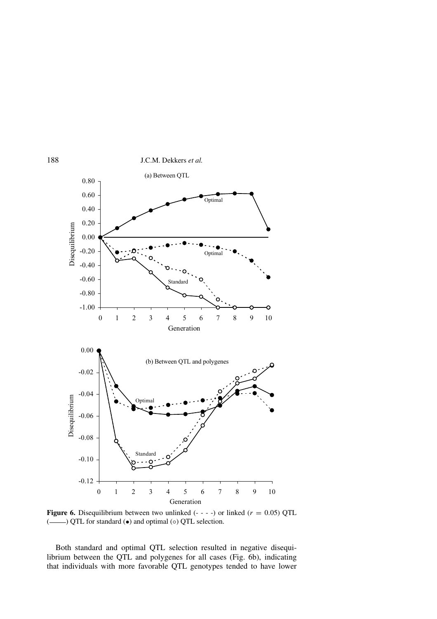

**Figure 6.** Disequilibrium between two unlinked  $(- - -)$  or linked  $(r = 0.05)$  QTL ( iii) QTL for standard (•) and optimal (○) QTL selection.

Both standard and optimal QTL selection resulted in negative disequilibrium between the QTL and polygenes for all cases (Fig. 6b), indicating that individuals with more favorable QTL genotypes tended to have lower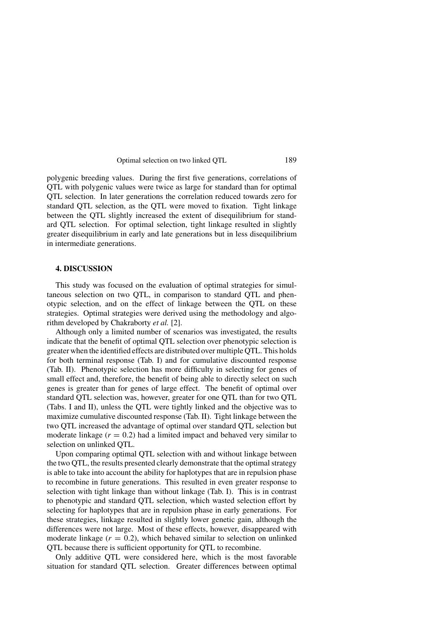polygenic breeding values. During the first five generations, correlations of QTL with polygenic values were twice as large for standard than for optimal QTL selection. In later generations the correlation reduced towards zero for standard QTL selection, as the QTL were moved to fixation. Tight linkage between the QTL slightly increased the extent of disequilibrium for standard QTL selection. For optimal selection, tight linkage resulted in slightly greater disequilibrium in early and late generations but in less disequilibrium in intermediate generations.

# **4. DISCUSSION**

This study was focused on the evaluation of optimal strategies for simultaneous selection on two QTL, in comparison to standard QTL and phenotypic selection, and on the effect of linkage between the QTL on these strategies. Optimal strategies were derived using the methodology and algorithm developed by Chakraborty *et al.* [2].

Although only a limited number of scenarios was investigated, the results indicate that the benefit of optimal QTL selection over phenotypic selection is greater when the identified effects are distributed over multiple QTL. This holds for both terminal response (Tab. I) and for cumulative discounted response (Tab. II). Phenotypic selection has more difficulty in selecting for genes of small effect and, therefore, the benefit of being able to directly select on such genes is greater than for genes of large effect. The benefit of optimal over standard QTL selection was, however, greater for one QTL than for two QTL (Tabs. I and II), unless the QTL were tightly linked and the objective was to maximize cumulative discounted response (Tab. II). Tight linkage between the two QTL increased the advantage of optimal over standard QTL selection but moderate linkage  $(r = 0.2)$  had a limited impact and behaved very similar to selection on unlinked QTL.

Upon comparing optimal QTL selection with and without linkage between the two QTL, the results presented clearly demonstrate that the optimal strategy is able to take into account the ability for haplotypes that are in repulsion phase to recombine in future generations. This resulted in even greater response to selection with tight linkage than without linkage (Tab. I). This is in contrast to phenotypic and standard QTL selection, which wasted selection effort by selecting for haplotypes that are in repulsion phase in early generations. For these strategies, linkage resulted in slightly lower genetic gain, although the differences were not large. Most of these effects, however, disappeared with moderate linkage  $(r = 0.2)$ , which behaved similar to selection on unlinked QTL because there is sufficient opportunity for QTL to recombine.

Only additive QTL were considered here, which is the most favorable situation for standard QTL selection. Greater differences between optimal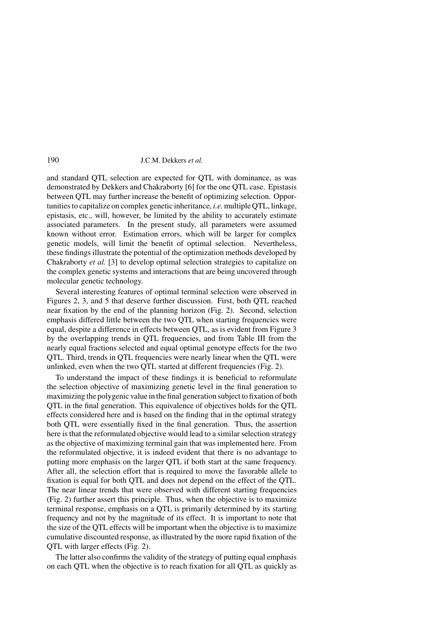190 J.C.M. Dekkers *et al.*

and standard QTL selection are expected for QTL with dominance, as was demonstrated by Dekkers and Chakraborty [6] for the one QTL case. Epistasis between QTL may further increase the benefit of optimizing selection. Opportunities to capitalize on complex genetic inheritance, *i.e.* multiple QTL, linkage, epistasis, etc., will, however, be limited by the ability to accurately estimate associated parameters. In the present study, all parameters were assumed known without error. Estimation errors, which will be larger for complex genetic models, will limit the benefit of optimal selection. Nevertheless, these findings illustrate the potential of the optimization methods developed by Chakraborty *et al.* [3] to develop optimal selection strategies to capitalize on the complex genetic systems and interactions that are being uncovered through molecular genetic technology.

Several interesting features of optimal terminal selection were observed in Figures 2, 3, and 5 that deserve further discussion. First, both QTL reached near fixation by the end of the planning horizon (Fig. 2). Second, selection emphasis differed little between the two QTL when starting frequencies were equal, despite a difference in effects between QTL, as is evident from Figure 3 by the overlapping trends in QTL frequencies, and from Table III from the nearly equal fractions selected and equal optimal genotype effects for the two QTL. Third, trends in QTL frequencies were nearly linear when the QTL were unlinked, even when the two QTL started at different frequencies (Fig. 2).

To understand the impact of these findings it is beneficial to reformulate the selection objective of maximizing genetic level in the final generation to maximizing the polygenic value in the final generation subject to fixation of both QTL in the final generation. This equivalence of objectives holds for the QTL effects considered here and is based on the finding that in the optimal strategy both QTL were essentially fixed in the final generation. Thus, the assertion here is that the reformulated objective would lead to a similar selection strategy as the objective of maximizing terminal gain that was implemented here. From the reformulated objective, it is indeed evident that there is no advantage to putting more emphasis on the larger QTL if both start at the same frequency. After all, the selection effort that is required to move the favorable allele to fixation is equal for both QTL and does not depend on the effect of the QTL. The near linear trends that were observed with different starting frequencies (Fig. 2) further assert this principle. Thus, when the objective is to maximize terminal response, emphasis on a QTL is primarily determined by its starting frequency and not by the magnitude of its effect. It is important to note that the size of the QTL effects will be important when the objective is to maximize cumulative discounted response, as illustrated by the more rapid fixation of the QTL with larger effects (Fig. 2).

The latter also confirms the validity of the strategy of putting equal emphasis on each QTL when the objective is to reach fixation for all QTL as quickly as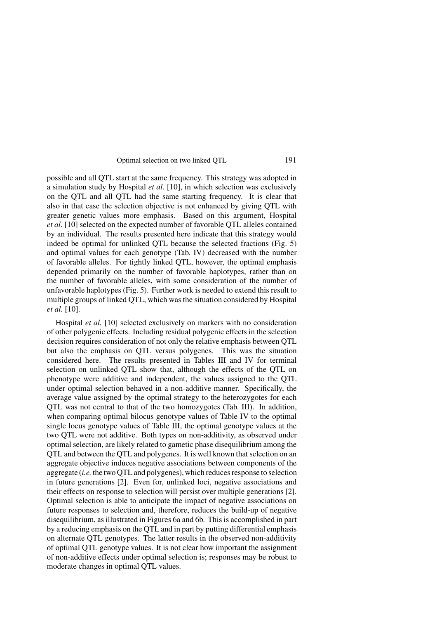possible and all QTL start at the same frequency. This strategy was adopted in a simulation study by Hospital *et al.* [10], in which selection was exclusively on the QTL and all QTL had the same starting frequency. It is clear that also in that case the selection objective is not enhanced by giving QTL with greater genetic values more emphasis. Based on this argument, Hospital *et al.* [10] selected on the expected number of favorable QTL alleles contained by an individual. The results presented here indicate that this strategy would indeed be optimal for unlinked QTL because the selected fractions (Fig. 5) and optimal values for each genotype (Tab. IV) decreased with the number of favorable alleles. For tightly linked QTL, however, the optimal emphasis depended primarily on the number of favorable haplotypes, rather than on the number of favorable alleles, with some consideration of the number of unfavorable haplotypes (Fig. 5). Further work is needed to extend this result to multiple groups of linked QTL, which was the situation considered by Hospital *et al.* [10].

Hospital *et al.* [10] selected exclusively on markers with no consideration of other polygenic effects. Including residual polygenic effects in the selection decision requires consideration of not only the relative emphasis between QTL but also the emphasis on QTL versus polygenes. This was the situation considered here. The results presented in Tables III and IV for terminal selection on unlinked QTL show that, although the effects of the QTL on phenotype were additive and independent, the values assigned to the QTL under optimal selection behaved in a non-additive manner. Specifically, the average value assigned by the optimal strategy to the heterozygotes for each QTL was not central to that of the two homozygotes (Tab. III). In addition, when comparing optimal bilocus genotype values of Table IV to the optimal single locus genotype values of Table III, the optimal genotype values at the two QTL were not additive. Both types on non-additivity, as observed under optimal selection, are likely related to gametic phase disequilibrium among the QTL and between the QTL and polygenes. It is well known that selection on an aggregate objective induces negative associations between components of the aggregate (*i.e.* the two QTL and polygenes), which reduces response to selection in future generations [2]. Even for, unlinked loci, negative associations and their effects on response to selection will persist over multiple generations [2]. Optimal selection is able to anticipate the impact of negative associations on future responses to selection and, therefore, reduces the build-up of negative disequilibrium, as illustrated in Figures 6a and 6b. This is accomplished in part by a reducing emphasis on the QTL and in part by putting differential emphasis on alternate QTL genotypes. The latter results in the observed non-additivity of optimal QTL genotype values. It is not clear how important the assignment of non-additive effects under optimal selection is; responses may be robust to moderate changes in optimal QTL values.